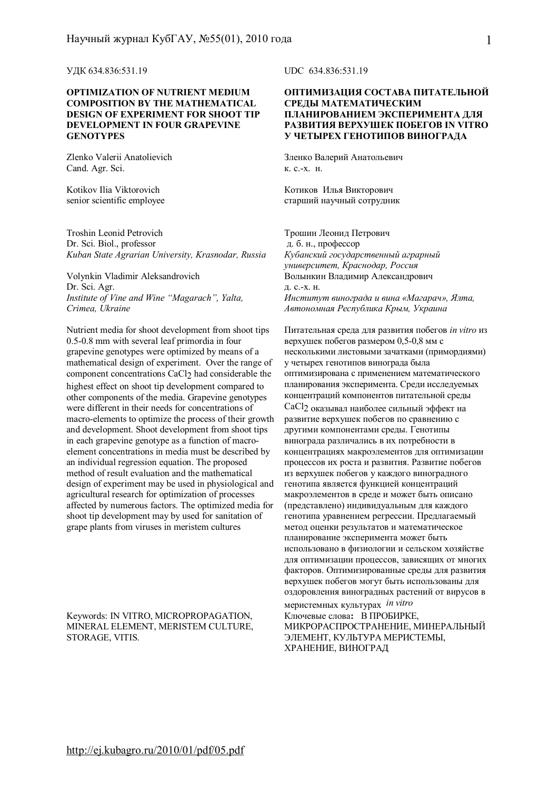#### УДК 634.836:531.19 UDC 634.836:531.19

### **OPTIMIZATION OF NUTRIENT MEDIUM COMPOSITION BY THE MATHEMATICAL DESIGN OF EXPERIMENT FOR SHOOT TIP DEVELOPMENT IN FOUR GRAPEVINE GENOTYPES**

Zlenko Valerii Anatolievich Cand. Agr. Sci.

Kotikov Ilia Viktorovich senior scientific employee

Troshin Leonid Petrovich Dr. Sci. Biol., professor *Kuban State Agrarian University, Krasnodar, Russia Кубанский государственный аграрный* 

Volynkin Vladimir Aleksandrovich Dr. Sci. Agr. *Institute of Vine and Wine "Magarach", Yalta, Crimea, Ukraine* 

Nutrient media for shoot development from shoot tips 0.5-0.8 mm with several leaf primordia in four grapevine genotypes were optimized by means of a mathematical design of experiment. Over the range of component concentrations CaCl<sub>2</sub> had considerable the highest effect on shoot tip development compared to other components of the media. Grapevine genotypes were different in their needs for concentrations of macro-elements to optimize the process of their growth and development. Shoot development from shoot tips in each grapevine genotype as a function of macroelement concentrations in media must be described by an individual regression equation. The proposed method of result evaluation and the mathematical design of experiment may be used in physiological and agricultural research for optimization of processes affected by numerous factors. The optimized media for shoot tip development may by used for sanitation of grape plants from viruses in meristem cultures

Keywords: IN VITRO, MICROPROPAGATION, MINERAL ELEMENT, MERISTEM CULTURE, STORAGE, VITIS.

### **ОПТИМИЗАЦИЯ СОСТАВА ПИТАТЕЛЬНОЙ СРЕДЫ МАТЕМАТИЧЕСКИМ ПЛАНИРОВАНИЕМ ЭКСПЕРИМЕНТА ДЛЯ РАЗВИТИЯ ВЕРХУШЕК ПОБЕГОВ IN VITRO У ЧЕТЫРЕХ ГЕНОТИПОВ ВИНОГРАДА**

Зленко Валерий Анатольевич к. с.-х. н.

Котиков Илья Викторович старший научный сотрудник

Трошин Леонид Петрович д. б. н., профессор *университет, Краснодар, Россия* Волынкин Владимир Александрович д. с.-х. н. *Институт винограда и вина «Магарач», Ялта, Автономная Республика Крым, Украина*

Питательная среда для развития побегов *in vitro* из верхушек побегов размером 0,5-0,8 мм с несколькими листовыми зачатками (примордиями) у четырех генотипов винограда была оптимизирована с применением математического планирования эксперимента. Среди исследуемых концентраций компонентов питательной среды CaCl2 оказывал наиболее сильный эффект на развитие верхушек побегов по сравнению с другими компонентами среды. Генотипы винограда различались в их потребности в концентрациях макроэлементов для оптимизации процессов их роста и развития. Развитие побегов из верхушек побегов у каждого виноградного генотипа является функцией концентраций макроэлементов в среде и может быть описано (представлено) индивидуальным для каждого генотипа уравнением регрессии. Предлагаемый метод оценки результатов и математическое планирование эксперимента может быть использовано в физиологии и сельском хозяйстве для оптимизации процессов, зависящих от многих факторов. Оптимизированные среды для развития верхушек побегов могут быть использованы для оздоровления виноградных растений от вирусов в

меристемных культурах *in vitro* Ключевые слова**:** В ПРОБИРКЕ, МИКРОРАСПРОСТРАНЕНИЕ, МИНЕРАЛЬНЫЙ ЭЛЕМЕНТ, КУЛЬТУРА МЕРИСТЕМЫ, ХРАНЕНИЕ, ВИНОГРАД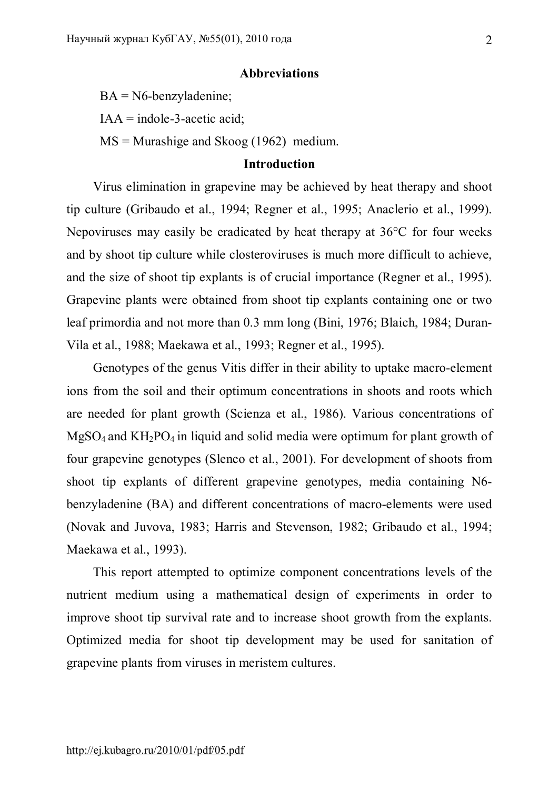### **Abbreviations**

BA = N6-benzyladenine;

 $IAA = \text{indole-3-acetic acid};$ 

MS = Murashige and Skoog (1962) medium.

### **Introduction**

Virus elimination in grapevine may be achieved by heat therapy and shoot tip culture (Gribaudo et al., 1994; Regner et al., 1995; Anaclerio et al., 1999). Nepoviruses may easily be eradicated by heat therapy at 36°C for four weeks and by shoot tip culture while closteroviruses is much more difficult to achieve, and the size of shoot tip explants is of crucial importance (Regner et al., 1995). Grapevine plants were obtained from shoot tip explants containing one or two leaf primordia and not more than 0.3 mm long (Bini, 1976; Blaich, 1984; Duran-Vila et al., 1988; Maekawa et al., 1993; Regner et al., 1995).

Genotypes of the genus Vitis differ in their ability to uptake macro-element ions from the soil and their optimum concentrations in shoots and roots which are needed for plant growth (Scienza et al., 1986). Various concentrations of  $MgSO<sub>4</sub>$  and  $KH<sub>2</sub>PO<sub>4</sub>$  in liquid and solid media were optimum for plant growth of four grapevine genotypes (Slenco et al., 2001). For development of shoots from shoot tip explants of different grapevine genotypes, media containing N6 benzyladenine (BA) and different concentrations of macro-elements were used (Novak and Juvova, 1983; Harris and Stevenson, 1982; Gribaudo et al., 1994; Maekawa et al., 1993).

This report attempted to optimize component concentrations levels of the nutrient medium using a mathematical design of experiments in order to improve shoot tip survival rate and to increase shoot growth from the explants. Optimized media for shoot tip development may be used for sanitation of grapevine plants from viruses in meristem cultures.

<http://ej.kubagro.ru/2010/01/pdf/05.pdf>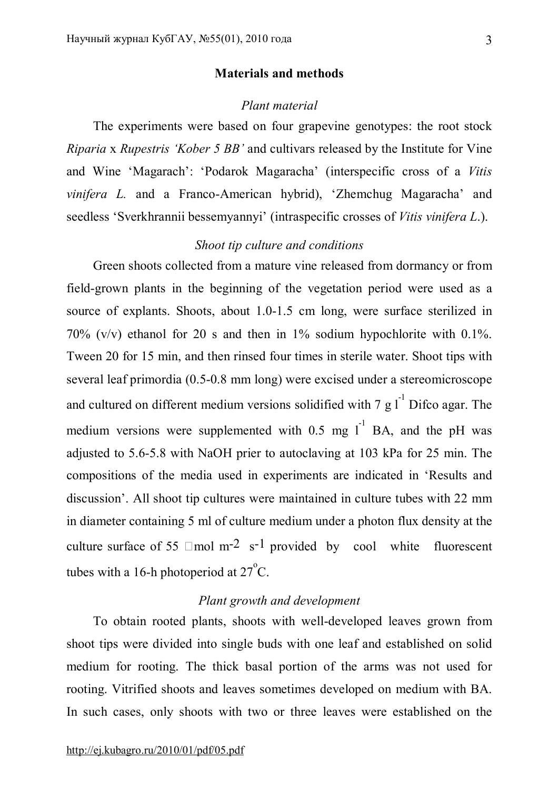## **Materials and methods**

### *Plant material*

The experiments were based on four grapevine genotypes: the root stock *Riparia* x *Rupestris 'Kober 5 BB'* and cultivars released by the Institute for Vine and Wine 'Magarach': 'Podarok Magaracha' (interspecific cross of a *Vitis vinifera L.* and a Franco-American hybrid), 'Zhemchug Magaracha' and seedless 'Sverkhrannii bessemyannyi' (intraspecific crosses of *Vitis vinifera L*.).

### *Shoot tip culture and conditions*

Green shoots collected from a mature vine released from dormancy or from field-grown plants in the beginning of the vegetation period were used as a source of explants. Shoots, about 1.0-1.5 cm long, were surface sterilized in 70% (v/v) ethanol for 20 s and then in 1% sodium hypochlorite with 0.1%. Tween 20 for 15 min, and then rinsed four times in sterile water. Shoot tips with several leaf primordia (0.5-0.8 mm long) were excised under a stereomicroscope and cultured on different medium versions solidified with 7  $g I^{-1}$  Difco agar. The medium versions were supplemented with 0.5 mg  $1^{-1}$  BA, and the pH was adjusted to 5.6-5.8 with NaOH prier to autoclaving at 103 kPa for 25 min. The compositions of the media used in experiments are indicated in 'Results and discussion'. All shoot tip cultures were maintained in culture tubes with 22 mm in diameter containing 5 ml of culture medium under a photon flux density at the culture surface of 55  $\Box$ mol m<sup>-2</sup> s<sup>-1</sup> provided by cool white fluorescent tubes with a 16-h photoperiod at  $27^{\circ}$ C.

# *Plant growth and development*

To obtain rooted plants, shoots with well-developed leaves grown from shoot tips were divided into single buds with one leaf and established on solid medium for rooting. The thick basal portion of the arms was not used for rooting. Vitrified shoots and leaves sometimes developed on medium with BA. In such cases, only shoots with two or three leaves were established on the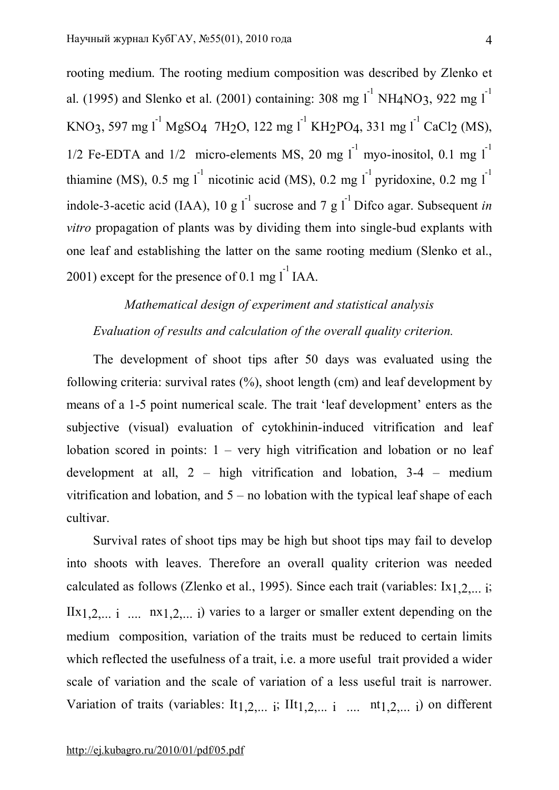rooting medium. The rooting medium composition was described by Zlenko et al. (1995) and Slenko et al. (2001) containing: 308 mg  $1^{-1}$  NH<sub>4</sub>NO<sub>3</sub>, 922 mg  $1^{-1}$ KNO3, 597 mg l<sup>-1</sup> MgSO4 7H<sub>2</sub>O, 122 mg l<sup>-1</sup> KH<sub>2</sub>PO4, 331 mg l<sup>-1</sup> CaCl<sub>2</sub> (MS),  $1/2$  Fe-EDTA and  $1/2$  micro-elements MS, 20 mg  $1^{-1}$  myo-inositol, 0.1 mg  $1^{-1}$ thiamine (MS), 0.5 mg  $1^{-1}$  nicotinic acid (MS), 0.2 mg  $1^{-1}$  pyridoxine, 0.2 mg  $1^{-1}$ indole-3-acetic acid (IAA), 10 g  $I^{-1}$  sucrose and 7 g  $I^{-1}$  Difco agar. Subsequent *in vitro* propagation of plants was by dividing them into single-bud explants with one leaf and establishing the latter on the same rooting medium (Slenko et al., 2001) except for the presence of 0.1 mg  $1^{-1}$  IAA.

# *Mathematical design of experiment and statistical analysis Evaluation of results and calculation of the overall quality criterion.*

The development of shoot tips after 50 days was evaluated using the following criteria: survival rates  $(\%)$ , shoot length (cm) and leaf development by means of a 1-5 point numerical scale. The trait 'leaf development' enters as the subjective (visual) evaluation of cytokhinin-induced vitrification and leaf lobation scored in points:  $1 - \text{very high virification and lobation or no leaf}$ development at all, 2 – high vitrification and lobation, 3-4 – medium vitrification and lobation, and  $5 - no$  lobation with the typical leaf shape of each cultivar.

Survival rates of shoot tips may be high but shoot tips may fail to develop into shoots with leaves. Therefore an overall quality criterion was needed calculated as follows (Zlenko et al., 1995). Since each trait (variables:  $Ix1,2,...$  i;  $IIx_{1,2,... i}$  ....  $\pi x_{1,2,... i}$  varies to a larger or smaller extent depending on the medium composition, variation of the traits must be reduced to certain limits which reflected the usefulness of a trait, i.e. a more useful trait provided a wider scale of variation and the scale of variation of a less useful trait is narrower. Variation of traits (variables: It<sub>1,2,...</sub>; IIt<sub>1,2,...</sub>;  $\ldots$  nt<sub>1,2,...</sub>;  $\ldots$  on different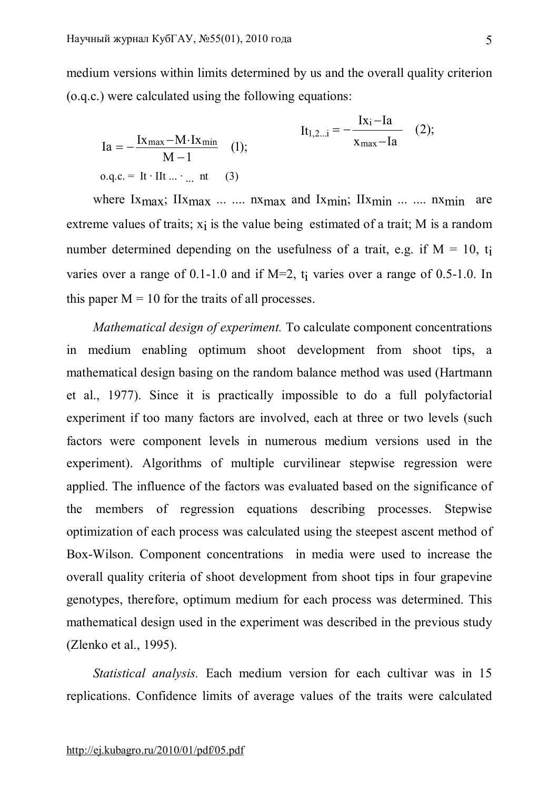medium versions within limits determined by us and the overall quality criterion (o.q.c.) were calculated using the following equations:

$$
Ia = -\frac{Ix_{max} - M \cdot Ix_{min}}{M - 1}
$$
 (1);  
11<sub>1,2...i</sub> =  $-\frac{Ix_i - Ia}{x_{max} - Ia}$  (2);  
12<sub>0.9</sub>.c = It · It...nt (3)

where  $Ix_{max}$ ;  $IIX_{max}$  ... ....  $nx_{max}$  and  $Ix_{min}$ ;  $IIX_{min}$  ... ....  $nx_{min}$  are extreme values of traits;  $x_i$  is the value being estimated of a trait; M is a random number determined depending on the usefulness of a trait, e.g. if  $M = 10$ , t<sub>i</sub> varies over a range of 0.1-1.0 and if M=2, ti varies over a range of 0.5-1.0. In this paper  $M = 10$  for the traits of all processes.

*Mathematical design of experiment.* To calculate component concentrations in medium enabling optimum shoot development from shoot tips, a mathematical design basing on the random balance method was used (Hartmann et al., 1977). Since it is practically impossible to do a full polyfactorial experiment if too many factors are involved, each at three or two levels (such factors were component levels in numerous medium versions used in the experiment). Algorithms of multiple curvilinear stepwise regression were applied. The influence of the factors was evaluated based on the significance of the members of regression equations describing processes. Stepwise optimization of each process was calculated using the steepest ascent method of Box-Wilson. Component concentrations in media were used to increase the overall quality criteria of shoot development from shoot tips in four grapevine genotypes, therefore, optimum medium for each process was determined. This mathematical design used in the experiment was described in the previous study (Zlenko et al., 1995).

*Statistical analysis.* Each medium version for each cultivar was in 15 replications. Confidence limits of average values of the traits were calculated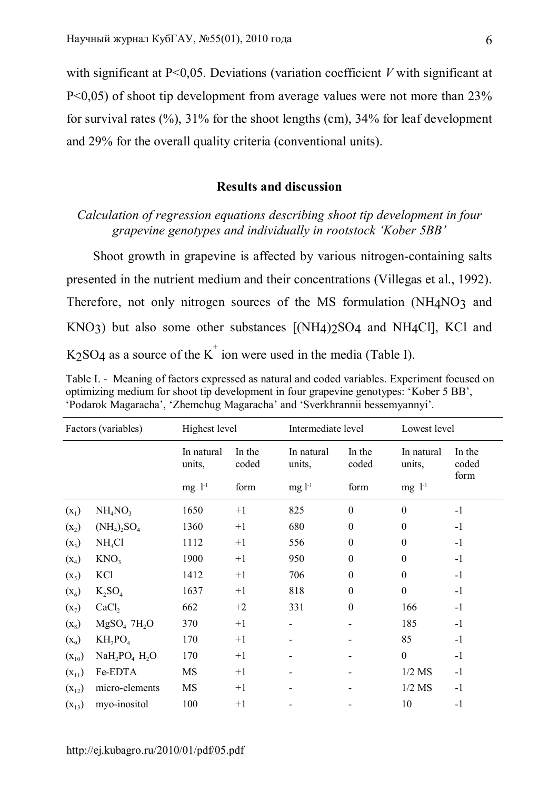with significant at P<0,05. Deviations (variation coefficient *V* with significant at P<0,05) of shoot tip development from average values were not more than 23% for survival rates  $(\%)$ , 31% for the shoot lengths (cm), 34% for leaf development and 29% for the overall quality criteria (conventional units).

# **Results and discussion**

# *Calculation of regression equations describing shoot tip development in four grapevine genotypes and individually in rootstock 'Kober 5BB'*

Shoot growth in grapevine is affected by various nitrogen-containing salts presented in the nutrient medium and their concentrations (Villegas et al., 1992). Therefore, not only nitrogen sources of the MS formulation (NH<sub>4</sub>NO<sub>3</sub> and KNO3) but also some other substances [(NH4)2SO4 and NH4Cl], KCl and K2SO4 as a source of the  $K^+$  ion were used in the media (Table I).

| Factors (variables) |                                     | Highest level        |                 | Intermediate level   |                 | Lowest level         |                 |  |
|---------------------|-------------------------------------|----------------------|-----------------|----------------------|-----------------|----------------------|-----------------|--|
|                     |                                     | In natural<br>units, | In the<br>coded | In natural<br>units, | In the<br>coded | In natural<br>units, | In the<br>coded |  |
|                     |                                     | $mg$ $l^{-1}$        | form            | $mg$ <sup>1-1</sup>  | form            | $mg$ $l^{-1}$        | form            |  |
| $(x_1)$             | NH <sub>4</sub> NO <sub>3</sub>     | 1650                 | $+1$            | 825                  | $\mathbf{0}$    | $\boldsymbol{0}$     | $-1$            |  |
| $(x_2)$             | $(NH_4)_2SO_4$                      | 1360                 | $+1$            | 680                  | $\mathbf{0}$    | $\boldsymbol{0}$     | $-1$            |  |
| $(X_3)$             | NH <sub>4</sub> Cl                  | 1112                 | $+1$            | 556                  | $\mathbf{0}$    | $\boldsymbol{0}$     | $-1$            |  |
| $(X_4)$             | KNO <sub>3</sub>                    | 1900                 | $+1$            | 950                  | $\mathbf{0}$    | $\boldsymbol{0}$     | $-1$            |  |
| $(x_5)$             | KCl                                 | 1412                 | $+1$            | 706                  | $\overline{0}$  | $\boldsymbol{0}$     | $-1$            |  |
| $(X_6)$             | $K_2SO_4$                           | 1637                 | $+1$            | 818                  | $\overline{0}$  | $\boldsymbol{0}$     | $-1$            |  |
| $(x_7)$             | CaCl <sub>2</sub>                   | 662                  | $+2$            | 331                  | $\overline{0}$  | 166                  | $-1$            |  |
| $(x_8)$             | MgSO <sub>4</sub> 7H <sub>2</sub> O | 370                  | $+1$            |                      |                 | 185                  | $-1$            |  |
| $(X_9)$             | $KH_2PO_4$                          | 170                  | $+1$            |                      |                 | 85                   | $-1$            |  |
| $(x_{10})$          | $NaH_2PO_4H_2O$                     | 170                  | $+1$            |                      |                 | $\boldsymbol{0}$     | $-1$            |  |
| $(x_{11})$          | Fe-EDTA                             | MS                   | $+1$            |                      |                 | $1/2$ MS             | $-1$            |  |
| $(x_{12})$          | micro-elements                      | MS                   | $+1$            |                      |                 | $1/2$ MS             | $-1$            |  |
| $(X_{13})$          | myo-inositol                        | 100                  | $+1$            |                      |                 | 10                   | $-1$            |  |

Table I. - Meaning of factors expressed as natural and coded variables. Experiment focused on optimizing medium for shoot tip development in four grapevine genotypes: 'Kober 5 BB', 'Podarok Magaracha', 'Zhemchug Magaracha' and 'Sverkhrannii bessemyannyi'.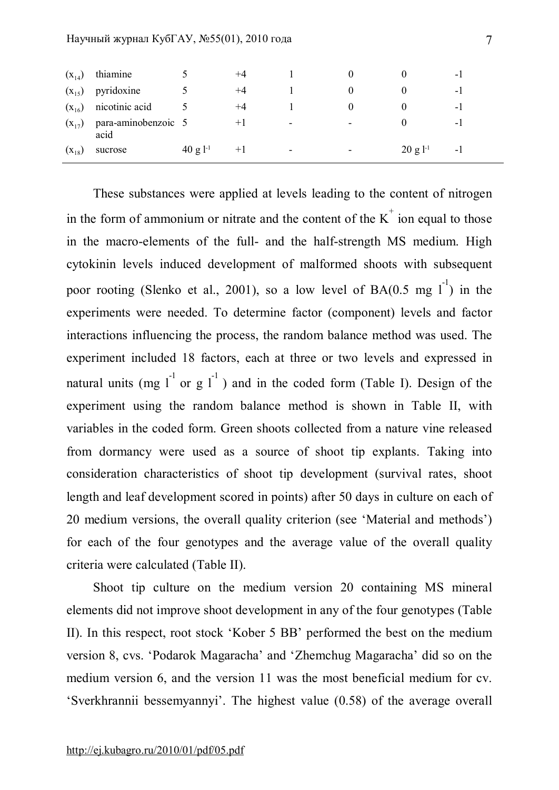| $(X_{14})$ | thiamine                    |               | $+4$ |                          |                          |                        | - 1  |
|------------|-----------------------------|---------------|------|--------------------------|--------------------------|------------------------|------|
| $(X_{15})$ | pyridoxine                  |               | $+4$ |                          |                          |                        | $-1$ |
| $(X_{16})$ | nicotinic acid              |               | $+4$ |                          |                          |                        | - 1  |
| $(x_{17})$ | para-aminobenzoic 5<br>acid |               | $+1$ | $\overline{\phantom{a}}$ | -                        |                        | $-1$ |
| $(X_{18})$ | sucrose                     | $40 g l^{-1}$ | $+1$ | $\overline{\phantom{a}}$ | $\overline{\phantom{0}}$ | $20 g$ 1 <sup>-1</sup> | $-1$ |

These substances were applied at levels leading to the content of nitrogen in the form of ammonium or nitrate and the content of the  $K^+$  ion equal to those in the macro-elements of the full- and the half-strength MS medium. High cytokinin levels induced development of malformed shoots with subsequent poor rooting (Slenko et al., 2001), so a low level of BA $(0.5 \text{ mg } l^{\text{-}1})$  in the experiments were needed. To determine factor (component) levels and factor interactions influencing the process, the random balance method was used. The experiment included 18 factors, each at three or two levels and expressed in natural units (mg  $1^{-1}$  or g  $1^{-1}$ ) and in the coded form (Table I). Design of the experiment using the random balance method is shown in Table II, with variables in the coded form. Green shoots collected from a nature vine released from dormancy were used as a source of shoot tip explants. Taking into consideration characteristics of shoot tip development (survival rates, shoot length and leaf development scored in points) after 50 days in culture on each of 20 medium versions, the overall quality criterion (see 'Material and methods') for each of the four genotypes and the average value of the overall quality criteria were calculated (Table II).

Shoot tip culture on the medium version 20 containing MS mineral elements did not improve shoot development in any of the four genotypes (Table II). In this respect, root stock 'Kober 5 BB' performed the best on the medium version 8, cvs. 'Podarok Magaracha' and 'Zhemchug Magaracha' did so on the medium version 6, and the version 11 was the most beneficial medium for cv. 'Sverkhrannii bessemyannyi'. The highest value (0.58) of the average overall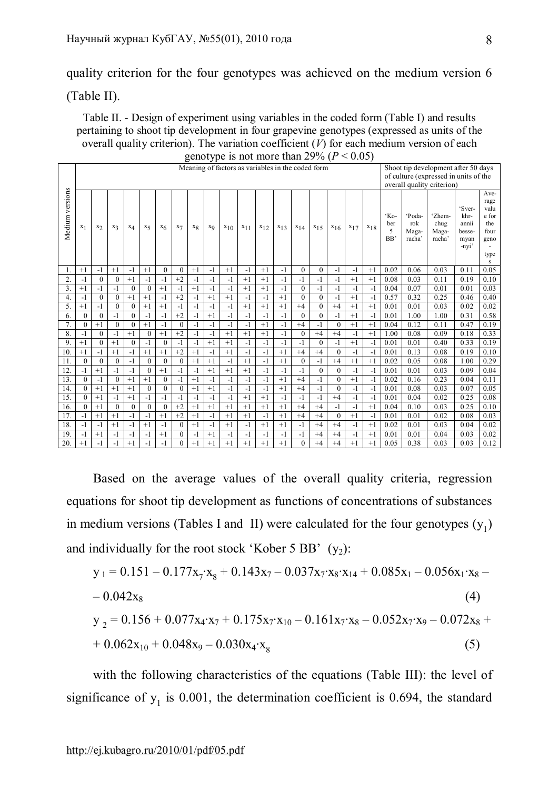quality criterion for the four genotypes was achieved on the medium version 6

(Table II).

Table II. - Design of experiment using variables in the coded form (Table I) and results pertaining to shoot tip development in four grapevine genotypes (expressed as units of the overall quality criterion). The variation coefficient (*V*) for each medium version of each genotype is not more than  $29\%$  ( $P < 0.05$ )

|                 | $S^{onoc}, S^{loc}$ to not more than $\equiv$ , $\sim$ $\left(1$<br>,<br>Meaning of factors as variables in the coded form<br>Shoot tip development after 50 days |              |                |          |                |              |                |       |      |          |          |          |          |              |              |              |          |          |      |               |                                       |               |               |
|-----------------|-------------------------------------------------------------------------------------------------------------------------------------------------------------------|--------------|----------------|----------|----------------|--------------|----------------|-------|------|----------|----------|----------|----------|--------------|--------------|--------------|----------|----------|------|---------------|---------------------------------------|---------------|---------------|
|                 |                                                                                                                                                                   |              |                |          |                |              |                |       |      |          |          |          |          |              |              |              |          |          |      |               |                                       |               |               |
|                 |                                                                                                                                                                   |              |                |          |                |              |                |       |      |          |          |          |          |              |              |              |          |          |      |               | of culture (expressed in units of the |               |               |
|                 |                                                                                                                                                                   |              |                |          |                |              |                |       |      |          |          |          |          |              |              |              |          |          |      |               | overall quality criterion)            |               |               |
| Medium versions |                                                                                                                                                                   |              |                |          |                |              |                |       |      |          |          |          |          |              |              |              |          |          |      |               |                                       |               | Ave-          |
|                 |                                                                                                                                                                   |              |                |          |                |              |                |       |      |          |          |          |          |              |              |              |          |          |      |               |                                       |               | rage          |
|                 |                                                                                                                                                                   |              |                |          |                |              |                |       |      |          |          |          |          |              |              |              |          |          | 'Ko- |               |                                       | 'Sver-        | valu<br>e for |
|                 |                                                                                                                                                                   |              |                |          |                |              |                |       |      |          |          |          |          |              |              |              |          |          | ber  | 'Poda-<br>rok | 'Zhem-<br>chug                        | khr-<br>annii | the           |
|                 | $X_1$                                                                                                                                                             | $x_2$        | $X_3$          | $x_4$    | X <sub>5</sub> | $x_6$        | X <sub>7</sub> | $x_8$ | Xq   | $x_{10}$ | $x_{11}$ | $x_{12}$ | $x_{13}$ | $x_{14}$     | $x_{15}$     | $x_{16}$     | $x_{17}$ | $x_{18}$ | 5    | Maga-         | Maga-                                 | besse-        | four          |
|                 |                                                                                                                                                                   |              |                |          |                |              |                |       |      |          |          |          |          |              |              |              |          |          | BB'  | racha'        | racha'                                | myan          | geno          |
|                 |                                                                                                                                                                   |              |                |          |                |              |                |       |      |          |          |          |          |              |              |              |          |          |      |               |                                       | $-nvi'$       |               |
|                 |                                                                                                                                                                   |              |                |          |                |              |                |       |      |          |          |          |          |              |              |              |          |          |      |               |                                       |               | type          |
|                 |                                                                                                                                                                   |              |                |          |                |              |                |       |      |          |          |          |          |              |              |              |          |          |      |               |                                       |               | s             |
|                 | $+1$                                                                                                                                                              | $-1$         | $+1$           | $-1$     | $+1$           | $\theta$     | $\theta$       | $+1$  | $-1$ | $+1$     | $-1$     | $+1$     | $-1$     | $\theta$     | $\theta$     | $-1$         | $-1$     | $+1$     | 0.02 | 0.06          | 0.03                                  | 0.11          | 0.05          |
| 2.              | $-1$                                                                                                                                                              | $\theta$     | $\Omega$       | $+1$     | $-1$           | $-1$         | $+2$           | $-1$  | $-1$ | $-1$     | $+1$     | $+1$     | $-1$     | $-1$         | $-1$         | -1           | $+1$     | $+1$     | 0.08 | 0.03          | 0.11                                  | 0.19          | 0.10          |
| 3.              | $+1$                                                                                                                                                              | $-1$         | $-1$           | $\theta$ | $\theta$       | $+1$         | $-1$           | $+1$  | $-1$ | $-1$     | $+1$     | $+1$     | $-1$     | $\mathbf{0}$ | $-1$         | $-1$         | $-1$     | $-1$     | 0.04 | 0.07          | 0.01                                  | 0.01          | 0.03          |
| 4.              | $-1$                                                                                                                                                              | $\theta$     | $\theta$       | $+1$     | $+1$           | $-1$         | $+2$           | $-1$  | $+1$ | $+1$     | $-1$     | $-1$     | $+1$     | $\theta$     | $\theta$     | $-1$         | $+1$     | $-1$     | 0.57 | 0.32          | 0.25                                  | 0.46          | 0.40          |
| 5.              | $+1$                                                                                                                                                              | $-1$         | $\overline{0}$ | $\Omega$ | $+1$           | $+1$         | -1             | $-1$  | $-1$ | $-1$     | $+1$     | $+1$     | $+1$     | $+4$         | $\mathbf{0}$ | $+4$         | $+1$     | $+1$     | 0.01 | 0.01          | 0.03                                  | 0.02          | 0.02          |
| 6.              | $\Omega$                                                                                                                                                          | $\mathbf{0}$ | $-1$           | $\theta$ | $-1$           | $-1$         | $+2$           | $-1$  | $+1$ | $-1$     | $-1$     | $-1$     | $-1$     | $\mathbf{0}$ | $\mathbf{0}$ | $-1$         | $+1$     | $-1$     | 0.01 | 1.00          | 1.00                                  | 0.31          | 0.58          |
| 7.              | $\Omega$                                                                                                                                                          | $+1$         | $\theta$       | $\Omega$ | $+1$           | $-1$         | $\theta$       | $-1$  | $-1$ | $-1$     | $-1$     | $+1$     | $-1$     | $+4$         | $-1$         | $\mathbf{0}$ | $+1$     | $+1$     | 0.04 | 0.12          | 0.11                                  | 0.47          | 0.19          |
| 8.              | $-1$                                                                                                                                                              | $\theta$     | $-1$           | $+1$     | $\theta$       | $+1$         | $+2$           | $-1$  | $-1$ | $+1$     | $+1$     | $+1$     | $-1$     | $\theta$     | $+4$         | $+4$         | $-1$     | $+1$     | 1.00 | 0.08          | 0.09                                  | 0.18          | 0.33          |
| 9.              | $+1$                                                                                                                                                              | $\theta$     | $+1$           | $\theta$ | $-1$           | $\theta$     | $-1$           | $-1$  | $+1$ | $+1$     | $-1$     | $-1$     | $-1$     | $-1$         | $\theta$     | $-1$         | $+1$     | $-1$     | 0.01 | 0.01          | 0.40                                  | 0.33          | 0.19          |
| 10.             | $+1$                                                                                                                                                              | $-1$         | $+1$           | $-1$     | $+1$           | $+1$         | $+2$           | $+1$  | $-1$ | $+1$     | $-1$     | $-1$     | $+1$     | $+4$         | $+4$         | $\theta$     | $-1$     | $-1$     | 0.01 | 0.13          | 0.08                                  | 0.19          | 0.10          |
| 11              | $\Omega$                                                                                                                                                          | $\theta$     | $\Omega$       | $-1$     | $\theta$       | $\theta$     | $\theta$       | $+1$  | $+1$ | $-1$     | $+1$     | $-1$     | $+1$     | $\theta$     | $-1$         | $+4$         | $+1$     | $+1$     | 0.02 | 0.05          | 0.08                                  | 1.00          | 0.29          |
| 12              | $-1$                                                                                                                                                              | $+1$         | $-1$           | $-1$     | $\theta$       | $+1$         | $-1$           | $-1$  | $+1$ | $+1$     | $+1$     | $-1$     | $-1$     | $-1$         | $\theta$     | $\theta$     | $-1$     | $-1$     | 0.01 | 0.01          | 0.03                                  | 0.09          | 0.04          |
| 13.             | $\Omega$                                                                                                                                                          | $-1$         | $\theta$       | $+1$     | $+1$           | $\mathbf{0}$ | $-1$           | $+1$  | $-1$ | $-1$     | $-1$     | $-1$     | $+1$     | $+4$         | $-1$         | $\mathbf{0}$ | $+1$     | $-1$     | 0.02 | 0.16          | 0.23                                  | 0.04          | 0.11          |
| 14.             | $\Omega$                                                                                                                                                          | $+1$         | $+1$           | $+1$     | $\theta$       | $\mathbf{0}$ | $\theta$       | $+1$  | $+1$ | $-1$     | $-1$     | $-1$     | $+1$     | $+4$         | $-1$         | $\theta$     | $-1$     | $-1$     | 0.01 | 0.08          | 0.03                                  | 0.07          | 0.05          |
| 15.             | $\Omega$                                                                                                                                                          | $+1$         | $-1$           | $+1$     | $-1$           | $-1$         | $-1$           | $-1$  | $-1$ | $-1$     | $+1$     | $+1$     | $-1$     | $-1$         | $-1$         | $+4$         | $-1$     | $-1$     | 0.01 | 0.04          | 0.02                                  | 0.25          | 0.08          |
| 16.             | $\Omega$                                                                                                                                                          | $+1$         | $\Omega$       | $\theta$ | $\theta$       | $\theta$     | $+2$           | $+1$  | $+1$ | $+1$     | $+1$     | $+1$     | $+1$     | $+4$         | $+4$         | $-1$         | $-1$     | $+1$     | 0.04 | 0.10          | 0.03                                  | 0.25          | 0.10          |
| 17.             | $-1$                                                                                                                                                              | $+1$         | $+1$           | $-1$     | $-1$           | $+1$         | $+2$           | $+1$  | $-1$ | $+1$     | $+1$     | $-1$     | $+1$     | $+4$         | $+4$         | $\theta$     | $+1$     | $-1$     | 0.01 | 0.01          | 0.02                                  | 0.08          | 0.03          |
| 18.             | $-1$                                                                                                                                                              | $-1$         | $+1$           | $-1$     | $+1$           | $-1$         | $\Omega$       | $+1$  | $-1$ | $+1$     | $-1$     | $+1$     | $+1$     | $-1$         | $+4$         | $+4$         | $-1$     | $+1$     | 0.02 | 0.01          | 0.03                                  | 0.04          | 0.02          |
| 19.             | $-1$                                                                                                                                                              | $+1$         | $-1$           | $-1$     | $-1$           | $+1$         | $\Omega$       | $-1$  | $+1$ | $-1$     | $-1$     | $-1$     | $-1$     | $-1$         | $+4$         | $+4$         | $-1$     | $+1$     | 0.01 | 0.01          | 0.04                                  | 0.03          | 0.02          |
| 20.             | $+1$                                                                                                                                                              | $-1$         | $-1$           | $+1$     | $-1$           | $-1$         | $\theta$       | $+1$  | $+1$ | $+1$     | $+1$     | $+1$     | $+1$     | $\theta$     | $+4$         | $+4$         | $+1$     | $+1$     | 0.05 | 0.38          | 0.03                                  | 0.03          | 0.12          |

Based on the average values of the overall quality criteria, regression equations for shoot tip development as functions of concentrations of substances in medium versions (Tables I and II) were calculated for the four genotypes  $(y_1)$ and individually for the root stock 'Kober 5 BB'  $(y_2)$ :

$$
y_1 = 0.151 - 0.177x_7x_8 + 0.143x_7 - 0.037x_7x_8 \cdot x_{14} + 0.085x_1 - 0.056x_1 \cdot x_8 - 0.042x_8
$$
\n
$$
y_2 = 0.156 + 0.077x_4 \cdot x_7 + 0.175x_7 \cdot x_{10} - 0.161x_7 \cdot x_8 - 0.052x_7 \cdot x_9 - 0.072x_8 + 0.062x_{10} + 0.048x_9 - 0.030x_4 \cdot x_8
$$
\n(5)

with the following characteristics of the equations (Table III): the level of significance of  $y_1$  is 0.001, the determination coefficient is 0.694, the standard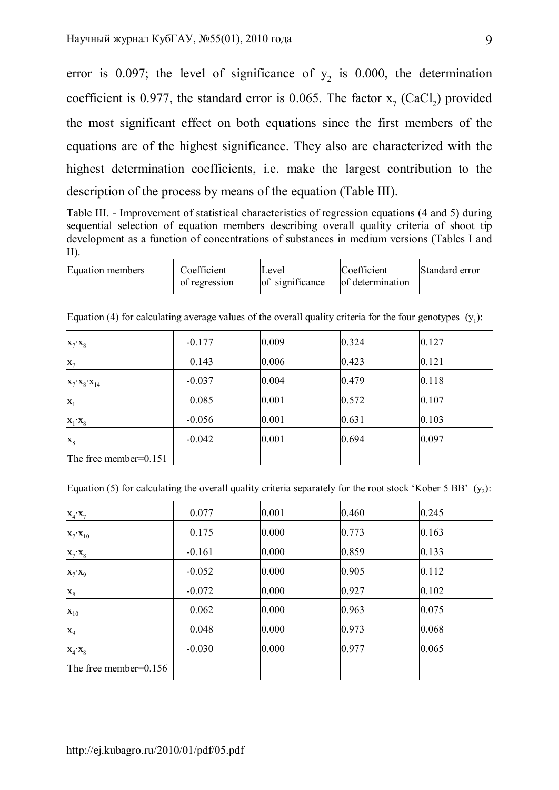error is 0.097; the level of significance of  $y_2$  is 0.000, the determination coefficient is 0.977, the standard error is 0.065. The factor  $x_7$  (CaCl<sub>2</sub>) provided the most significant effect on both equations since the first members of the equations are of the highest significance. They also are characterized with the highest determination coefficients, i.e. make the largest contribution to the description of the process by means of the equation (Table III).

Table III. - Improvement of statistical characteristics of regression equations (4 and 5) during sequential selection of equation members describing overall quality criteria of shoot tip development as a function of concentrations of substances in medium versions (Tables I and II).

| Equation members                                                                                               | Coefficient<br>of regression | Level<br>of significance | Coefficient<br>of determination | Standard error |  |
|----------------------------------------------------------------------------------------------------------------|------------------------------|--------------------------|---------------------------------|----------------|--|
| Equation (4) for calculating average values of the overall quality criteria for the four genotypes $(y_1)$ :   |                              |                          |                                 |                |  |
| $x_7 \cdot x_8$                                                                                                | $-0.177$                     | 0.009                    | 0.324                           | 0.127          |  |
| $\mathbf{x}_7$                                                                                                 | 0.143                        | 0.006                    | 0.423                           | 0.121          |  |
| $\mathbf{X}_7 \cdot \mathbf{X}_8 \cdot \mathbf{X}_{14}$                                                        | $-0.037$                     | 0.004                    | 0.479                           | 0.118          |  |
| $\mathbf{x}_1$                                                                                                 | 0.085                        | 0.001                    | 0.572                           | 0.107          |  |
| $\mathbf{x}_1 \cdot \mathbf{x}_8$                                                                              | $-0.056$                     | 0.001                    | 0.631                           | 0.103          |  |
| $\mathbf{X}_8$                                                                                                 | $-0.042$                     | 0.001                    | 0.694                           | 0.097          |  |
| The free member=0.151                                                                                          |                              |                          |                                 |                |  |
| Equation (5) for calculating the overall quality criteria separately for the root stock 'Kober 5 BB' $(y_2)$ : |                              |                          |                                 |                |  |
| $\mathbf{X}_4 \cdot \mathbf{X}_7$                                                                              | 0.077                        | 0.001                    | 0.460                           | 0.245          |  |
| $x_7x_{10}$                                                                                                    | 0.175                        | 0.000                    | 0.773                           | 0.163          |  |
| $x_7 \cdot x_8$                                                                                                | $-0.161$                     | 0.000                    | 0.859                           | 0.133          |  |
| $x_7 \cdot x_9$                                                                                                | $-0.052$                     | 0.000                    | 0.905                           | 0.112          |  |
| $\mathbf{x}_8$                                                                                                 | $-0.072$                     | 0.000                    | 0.927                           | 0.102          |  |
| $\mathbf{x}_{10}$                                                                                              | 0.062                        | 0.000                    | 0.963                           | 0.075          |  |
| $\mathbf{x}_9$                                                                                                 | 0.048                        | 0.000                    | 0.973                           | 0.068          |  |
| $\mathbf{X}_4 \cdot \mathbf{X}_8$                                                                              | $-0.030$                     | 0.000                    | 0.977                           | 0.065          |  |
| The free member=0.156                                                                                          |                              |                          |                                 |                |  |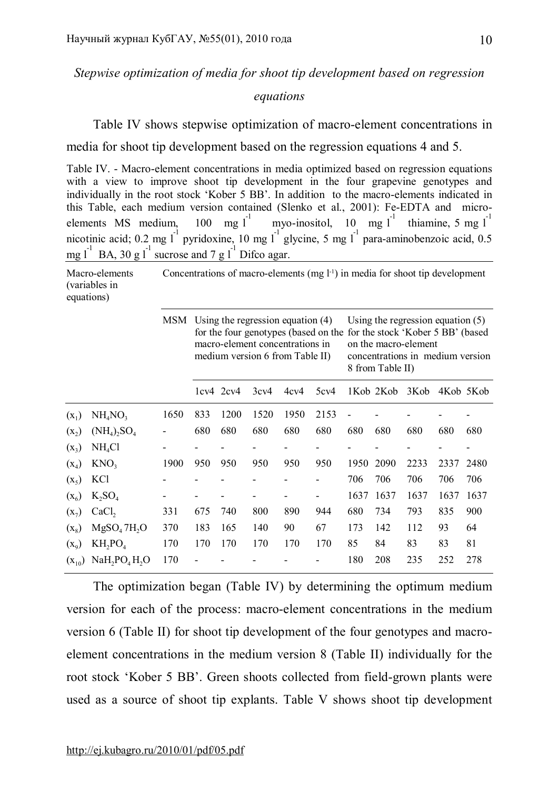*Stepwise optimization of media for shoot tip development based on regression* 

### *equations*

Table IV shows stepwise optimization of macro-element concentrations in

media for shoot tip development based on the regression equations 4 and 5.

Table IV. - Macro-element concentrations in media optimized based on regression equations with a view to improve shoot tip development in the four grapevine genotypes and individually in the root stock 'Kober 5 BB'. In addition to the macro-elements indicated in this Table, each medium version contained (Slenko et al., 2001): Fe-EDTA and microelements MS medium, 100 mg  $1^{-1}$ myo-inositol,  $10 \text{ mg l}^{-1}$  thiamine, 5 mg  $l^{-1}$ nicotinic acid; 0.2 mg  $1^{-1}$  pyridoxine, 10 mg  $1^{-1}$  glycine, 5 mg  $1^{-1}$  para-aminobenzoic acid, 0.5 mg  $1^{-1}$  BA, 30 g  $1^{-1}$  sucrose and 7 g  $1^{-1}$  Difco agar.

| Macro-elements<br>(variables in<br>equations) |                                     | Concentrations of macro-elements $(mg l-1)$ in media for shoot tip development |     |               |                                                                                                           |                   |                                                                                                                                                                                               |      |           |      |      |           |  |
|-----------------------------------------------|-------------------------------------|--------------------------------------------------------------------------------|-----|---------------|-----------------------------------------------------------------------------------------------------------|-------------------|-----------------------------------------------------------------------------------------------------------------------------------------------------------------------------------------------|------|-----------|------|------|-----------|--|
| <b>MSM</b>                                    |                                     |                                                                                |     |               | Using the regression equation $(4)$<br>macro-element concentrations in<br>medium version 6 from Table II) |                   | Using the regression equation $(5)$<br>for the four genotypes (based on the for the stock 'Kober 5 BB' (based<br>on the macro-element<br>concentrations in medium version<br>8 from Table II) |      |           |      |      |           |  |
|                                               |                                     |                                                                                |     | $1cv4$ $2cv4$ | 3c <sub>V</sub> 4                                                                                         | 4c <sub>V</sub> 4 | 5c <sub>V</sub> 4                                                                                                                                                                             |      | 1Kob 2Kob | 3Kob |      | 4Kob 5Kob |  |
| $(x_1)$                                       | NH <sub>4</sub> NO <sub>3</sub>     | 1650                                                                           | 833 | 1200          | 1520                                                                                                      | 1950              | 2153                                                                                                                                                                                          |      |           |      |      |           |  |
| $(x_2)$                                       | $(NH_4)_2SO_4$                      |                                                                                | 680 | 680           | 680                                                                                                       | 680               | 680                                                                                                                                                                                           | 680  | 680       | 680  | 680  | 680       |  |
| $(x_3)$                                       | NH <sub>4</sub> Cl                  |                                                                                |     |               |                                                                                                           |                   |                                                                                                                                                                                               |      |           |      |      |           |  |
| $(x_4)$                                       | KNO <sub>3</sub>                    | 1900                                                                           | 950 | 950           | 950                                                                                                       | 950               | 950                                                                                                                                                                                           | 1950 | 2090      | 2233 | 2337 | 2480      |  |
| $(x_5)$                                       | KCl                                 |                                                                                |     |               |                                                                                                           |                   |                                                                                                                                                                                               | 706  | 706       | 706  | 706  | 706       |  |
| $(x_6)$                                       | $K_2SO_4$                           |                                                                                |     |               |                                                                                                           |                   |                                                                                                                                                                                               | 1637 | 1637      | 1637 | 1637 | 1637      |  |
| $(X_7)$                                       | CaCl <sub>2</sub>                   | 331                                                                            | 675 | 740           | 800                                                                                                       | 890               | 944                                                                                                                                                                                           | 680  | 734       | 793  | 835  | 900       |  |
| $(x_8)$                                       | MgSO <sub>4</sub> 7H <sub>2</sub> O | 370                                                                            | 183 | 165           | 140                                                                                                       | 90                | 67                                                                                                                                                                                            | 173  | 142       | 112  | 93   | 64        |  |
| $(X_9)$                                       | $KH_2PO_4$                          | 170                                                                            | 170 | 170           | 170                                                                                                       | 170               | 170                                                                                                                                                                                           | 85   | 84        | 83   | 83   | 81        |  |
| $(X_{10})$                                    | $NaH_2PO_4H_2O$                     | 170                                                                            |     |               |                                                                                                           |                   |                                                                                                                                                                                               | 180  | 208       | 235  | 252  | 278       |  |

The optimization began (Table IV) by determining the optimum medium version for each of the process: macro-element concentrations in the medium version 6 (Table II) for shoot tip development of the four genotypes and macroelement concentrations in the medium version 8 (Table II) individually for the root stock 'Kober 5 BB'. Green shoots collected from field-grown plants were used as a source of shoot tip explants. Table V shows shoot tip development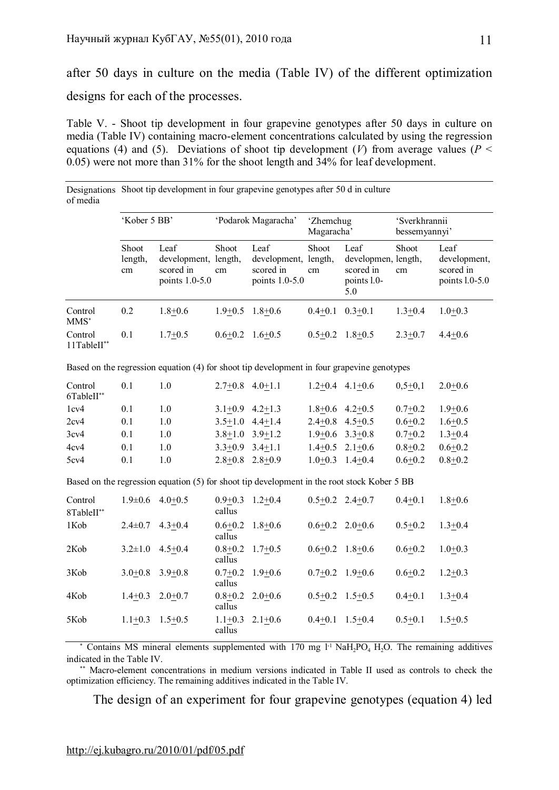after 50 days in culture on the media (Table IV) of the different optimization designs for each of the processes.

Table V. - Shoot tip development in four grapevine genotypes after 50 days in culture on media (Table IV) containing macro-element concentrations calculated by using the regression equations (4) and (5). Deviations of shoot tip development (*V*) from average values ( $P <$ 0.05) were not more than 31% for the shoot length and 34% for leaf development.

|                        | 'Kober 5 BB'                  |                                                                                            |                             | 'Podarok Magaracha'                                         | 'Zhemchug<br>Magaracha' |                                                                | 'Sverkhrannii<br>bessemyannyi' |                                                       |
|------------------------|-------------------------------|--------------------------------------------------------------------------------------------|-----------------------------|-------------------------------------------------------------|-------------------------|----------------------------------------------------------------|--------------------------------|-------------------------------------------------------|
|                        | <b>Shoot</b><br>length,<br>cm | Leaf<br>development, length,<br>scored in<br>points 1.0-5.0                                | <b>Shoot</b><br>cm          | Leaf<br>development, length,<br>scored in<br>points 1.0-5.0 | Shoot<br>cm             | Leaf<br>developmen, length,<br>scored in<br>points 1.0-<br>5.0 | <b>Shoot</b><br>cm             | Leaf<br>development,<br>scored in<br>points $1.0-5.0$ |
| Control<br>$MMS^*$     | 0.2                           | $1.8 + 0.6$                                                                                | $1.9 + 0.5$                 | $1.8 + 0.6$                                                 | $0.4 + 0.1$             | $0.3 + 0.1$                                                    | $1.3 + 0.4$                    | $1.0 + 0.3$                                           |
| Control<br>11TableII** | 0.1                           | $1.7 + 0.5$                                                                                | $0.6+0.2$ 1.6+0.5           |                                                             | $0.5 + 0.2$             | $1.8 + 0.5$                                                    | $2.3 + 0.7$                    | $4.4 + 0.6$                                           |
|                        |                               | Based on the regression equation (4) for shoot tip development in four grapevine genotypes |                             |                                                             |                         |                                                                |                                |                                                       |
| Control<br>6TableII**  | 0.1                           | 1.0                                                                                        | $2.7+0.8$ 4.0+1.1           |                                                             |                         | $1.2+0.4$ 4.1+0.6                                              | $0,5+0,1$                      | $2.0 + 0.6$                                           |
| 1cy4                   | 0.1                           | 1.0                                                                                        | $3.1 + 0.9$                 | $4.2 + 1.3$                                                 | $1.8+0.6$ 4.2 $\pm$ 0.5 |                                                                | $0.7 + 0.2$                    | $1.9 + 0.6$                                           |
| 2cy4                   | 0.1                           | 1.0                                                                                        | $3.5 + 1.0$ 4.4 + 1.4       |                                                             | $2.4+0.8$ 4.5+0.5       |                                                                | $0.6 + 0.2$                    | $1.6 + 0.5$                                           |
| 3cy4                   | 0.1                           | 1.0                                                                                        | $3.8 \pm 1.0$ $3.9 \pm 1.2$ |                                                             | $1.9+0.6$ 3.3+0.8       |                                                                | $0.7 + 0.2$                    | $1.3 + 0.4$                                           |
|                        |                               |                                                                                            |                             |                                                             |                         |                                                                |                                |                                                       |

Designations Shoot tip development in four grapevine genotypes after 50 d in culture of media

Based on the regression equation (5) for shoot tip development in the root stock Kober 5 BB

| Control<br>8TableII <sup>**</sup> | $1.9 \pm 0.6$ | $4.0 + 0.5$ | $0.9 + 0.3$<br>callus       | $1.2 + 0.4$ | $0.5+0.2$ 2.4+0.7 |             | $0.4 + 0.1$ | $1.8 + 0.6$ |
|-----------------------------------|---------------|-------------|-----------------------------|-------------|-------------------|-------------|-------------|-------------|
| 1Kob                              | $2.4 \pm 0.7$ | $4.3 + 0.4$ | $0.6 + 0.2$<br>callus       | $1.8 + 0.6$ | $0.6+0.2$ 2.0+0.6 |             | $0.5 + 0.2$ | $1.3 + 0.4$ |
| 2Kob                              | $3.2 \pm 1.0$ | $4.5 + 0.4$ | $0.8 + 0.2$<br>callus       | $1.7+0.5$   | $0.6 + 0.2$       | $1.8 + 0.6$ | $0.6 + 0.2$ | $1.0 + 0.3$ |
| 3Kob                              | $3.0 + 0.8$   | $3.9 + 0.8$ | $0.7 + 0.2$<br>callus       | $1.9 + 0.6$ | $0.7 + 0.2$       | $1.9+0.6$   | $0.6 + 0.2$ | $1.2 + 0.3$ |
| 4Kob                              | $1.4 + 0.3$   | $2.0 + 0.7$ | $0.8+0.2$ 2.0+0.6<br>callus |             | $0.5 + 0.2$       | $1.5 + 0.5$ | $0.4 + 0.1$ | $1.3 + 0.4$ |
| 5Kob                              | $1.1 + 0.3$   | $1.5 + 0.5$ | $1.1 + 0.3$<br>callus       | $2.1 + 0.6$ | $0.4 + 0.1$       | $1.5 + 0.4$ | $0.5 + 0.1$ | $1.5 + 0.5$ |

4cv4  $0.1$   $1.0$   $3.3\pm0.9$   $3.4\pm1.1$   $1.4\pm0.5$   $2.1\pm0.6$   $0.8\pm0.2$   $0.6\pm0.2$  $5c\sqrt{4}$  0.1 1.0 2.8 $\pm$ 0.8 2.8 $\pm$ 0.9 1.0 $\pm$ 0.3 1.4 $\pm$ 0.4 0.6 $\pm$ 0.2 0.8 $\pm$ 0.2

Contains MS mineral elements supplemented with 170 mg  $l^{-1}$  NaH<sub>2</sub>PO<sub>4</sub> H<sub>2</sub>O. The remaining additives indicated in the Table IV.

\*\* Macro-element concentrations in medium versions indicated in Table II used as controls to check the optimization efficiency. The remaining additives indicated in the Table IV.

The design of an experiment for four grapevine genotypes (equation 4) led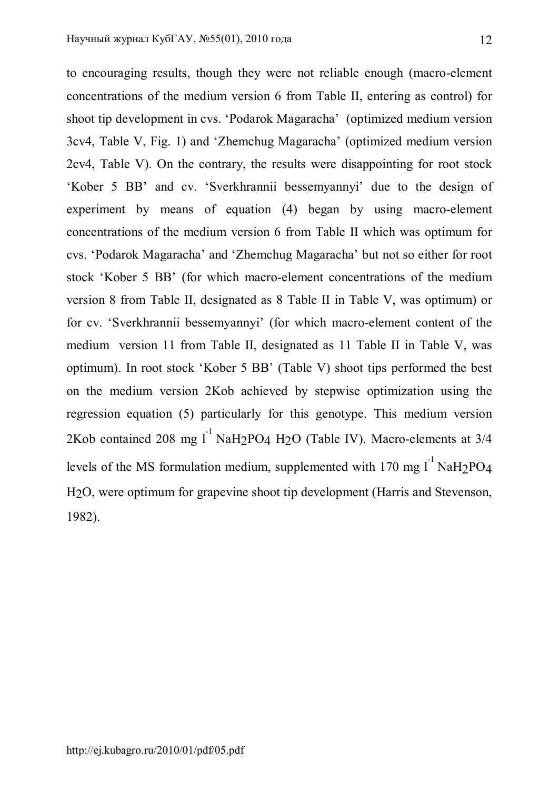to encouraging results, though they were not reliable enough (macro-element concentrations of the medium version 6 from Table II, entering as control) for shoot tip development in cvs. 'Podarok Magaracha' (optimized medium version 3cv4, Table V, Fig. 1) and 'Zhemchug Magaracha' (optimized medium version 2cv4, Table V). On the contrary, the results were disappointing for root stock 'Kober 5 BB' and cv. 'Sverkhrannii bessemyannyi' due to the design of experiment by means of equation (4) began by using macro-element concentrations of the medium version 6 from Table II which was optimum for cvs. 'Podarok Magaracha' and 'Zhemchug Magaracha' but not so either for root stock 'Kober 5 BB' (for which macro-element concentrations of the medium version 8 from Table II, designated as 8 Table II in Table V, was optimum) or for cv. 'Sverkhrannii bessemyannyi' (for which macro-element content of the medium version 11 from Table II, designated as 11 Table II in Table V, was optimum). In root stock 'Kober 5 BB' (Table V) shoot tips performed the best on the medium version 2Kob achieved by stepwise optimization using the regression equation (5) particularly for this genotype. This medium version 2Kob contained 208 mg  $1^{\text{-}1}$  NaH<sub>2</sub>PO<sub>4</sub> H<sub>2</sub>O (Table IV). Macro-elements at 3/4 levels of the MS formulation medium, supplemented with 170 mg  $1^{-1}$  NaH<sub>2</sub>PO<sub>4</sub> H2O, were optimum for grapevine shoot tip development (Harris and Stevenson, 1982).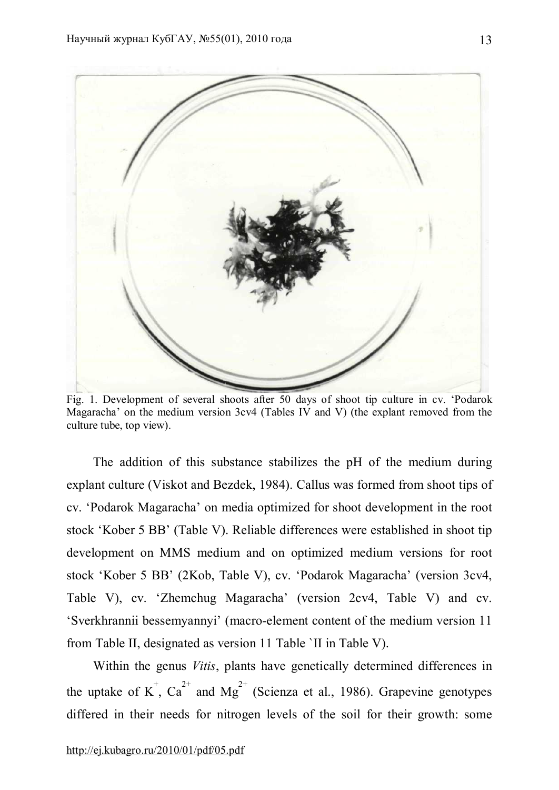

Fig. 1. Development of several shoots after 50 days of shoot tip culture in cv. 'Podarok Magaracha' on the medium version 3cv4 (Tables IV and V) (the explant removed from the culture tube, top view).

The addition of this substance stabilizes the pH of the medium during explant culture (Viskot and Bezdek, 1984). Callus was formed from shoot tips of cv. 'Podarok Magaracha' on media optimized for shoot development in the root stock 'Kober 5 BB' (Table V). Reliable differences were established in shoot tip development on MMS medium and on optimized medium versions for root stock 'Kober 5 BB' (2Kob, Table V), cv. 'Podarok Magaracha' (version 3cv4, Table V), cv. 'Zhemchug Magaracha' (version 2cv4, Table V) and cv. 'Sverkhrannii bessemyannyi' (macro-element content of the medium version 11 from Table II, designated as version 11 Table `II in Table V).

Within the genus *Vitis*, plants have genetically determined differences in the uptake of K<sup>+</sup>, Ca<sup>2+</sup> and Mg<sup>2+</sup> (Scienza et al., 1986). Grapevine genotypes differed in their needs for nitrogen levels of the soil for their growth: some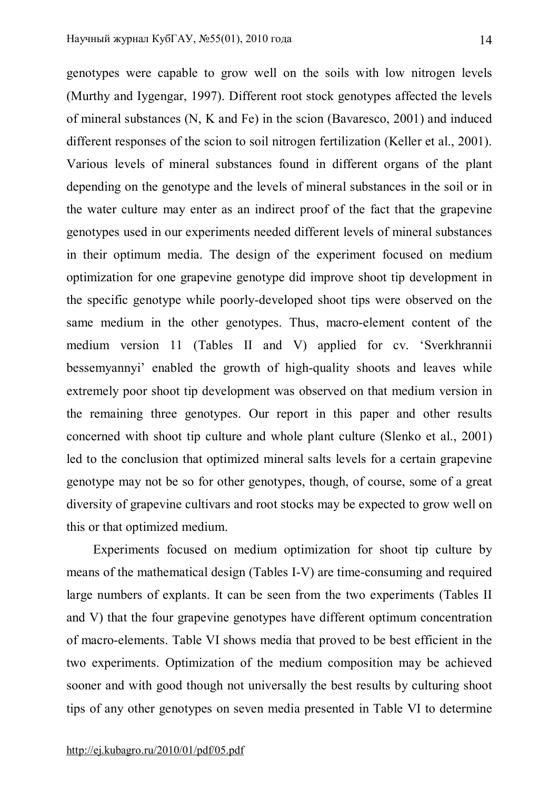genotypes were capable to grow well on the soils with low nitrogen levels (Murthy and Iygengar, 1997). Different root stock genotypes affected the levels of mineral substances (N, K and Fe) in the scion (Bavaresco, 2001) and induced different responses of the scion to soil nitrogen fertilization (Keller et al., 2001). Various levels of mineral substances found in different organs of the plant depending on the genotype and the levels of mineral substances in the soil or in the water culture may enter as an indirect proof of the fact that the grapevine genotypes used in our experiments needed different levels of mineral substances in their optimum media. The design of the experiment focused on medium optimization for one grapevine genotype did improve shoot tip development in the specific genotype while poorly-developed shoot tips were observed on the same medium in the other genotypes. Thus, macro-element content of the medium version 11 (Tables II and V) applied for cv. 'Sverkhrannii bessemyannyi' enabled the growth of high-quality shoots and leaves while extremely poor shoot tip development was observed on that medium version in the remaining three genotypes. Our report in this paper and other results concerned with shoot tip culture and whole plant culture (Slenko et al., 2001) led to the conclusion that optimized mineral salts levels for a certain grapevine genotype may not be so for other genotypes, though, of course, some of a great diversity of grapevine cultivars and root stocks may be expected to grow well on this or that optimized medium.

Experiments focused on medium optimization for shoot tip culture by means of the mathematical design (Tables I-V) are time-consuming and required large numbers of explants. It can be seen from the two experiments (Tables II and V) that the four grapevine genotypes have different optimum concentration of macro-elements. Table VI shows media that proved to be best efficient in the two experiments. Optimization of the medium composition may be achieved sooner and with good though not universally the best results by culturing shoot tips of any other genotypes on seven media presented in Table VI to determine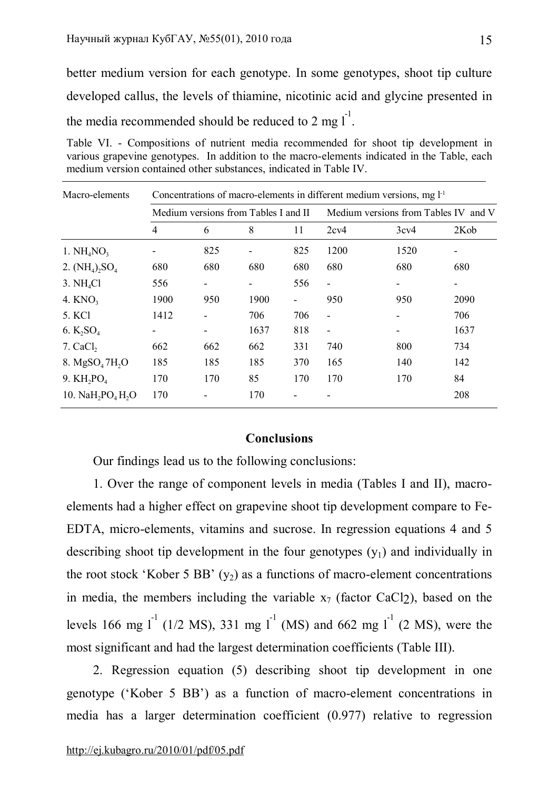better medium version for each genotype. In some genotypes, shoot tip culture developed callus, the levels of thiamine, nicotinic acid and glycine presented in the media recommended should be reduced to 2 mg  $1^{-1}$ .

Table VI. - Compositions of nutrient media recommended for shoot tip development in various grapevine genotypes. In addition to the macro-elements indicated in the Table, each medium version contained other substances, indicated in Table IV.

| Macro-elements                         | Concentrations of macro-elements in different medium versions, mg l <sup>-1</sup> |     |                                      |     |                          |                                      |      |  |  |  |
|----------------------------------------|-----------------------------------------------------------------------------------|-----|--------------------------------------|-----|--------------------------|--------------------------------------|------|--|--|--|
|                                        |                                                                                   |     | Medium versions from Tables I and II |     |                          | Medium versions from Tables IV and V |      |  |  |  |
|                                        | 4                                                                                 | 6   | 8                                    | 11  | 2cy4                     | 3c <sub>V</sub> 4                    | 2Kob |  |  |  |
| 1. $NH4NO3$                            |                                                                                   | 825 |                                      | 825 | 1200                     | 1520                                 |      |  |  |  |
| 2. $(NH_4)$ , $SO_4$                   | 680                                                                               | 680 | 680                                  | 680 | 680                      | 680                                  | 680  |  |  |  |
| 3. NH <sub>4</sub> Cl                  | 556                                                                               |     |                                      | 556 |                          |                                      |      |  |  |  |
| 4. $KNO3$                              | 1900                                                                              | 950 | 1900                                 |     | 950                      | 950                                  | 2090 |  |  |  |
| 5. KCl                                 | 1412                                                                              |     | 706                                  | 706 | $\overline{\phantom{a}}$ |                                      | 706  |  |  |  |
| 6. $K_2SO_4$                           |                                                                                   |     | 1637                                 | 818 |                          |                                      | 1637 |  |  |  |
| $7.$ CaCl <sub>2</sub>                 | 662                                                                               | 662 | 662                                  | 331 | 740                      | 800                                  | 734  |  |  |  |
| 8. MgSO <sub>4</sub> 7H <sub>2</sub> O | 185                                                                               | 185 | 185                                  | 370 | 165                      | 140                                  | 142  |  |  |  |
| 9. $KH_2PO_4$                          | 170                                                                               | 170 | 85                                   | 170 | 170                      | 170                                  | 84   |  |  |  |
| 10. Na $H_2PO_4H_2O$                   | 170                                                                               |     | 170                                  |     |                          |                                      | 208  |  |  |  |

## **Conclusions**

Our findings lead us to the following conclusions:

1. Over the range of component levels in media (Tables I and II), macroelements had a higher effect on grapevine shoot tip development compare to Fe-EDTA, micro-elements, vitamins and sucrose. In regression equations 4 and 5 describing shoot tip development in the four genotypes  $(y_1)$  and individually in the root stock 'Kober 5 BB'  $(y_2)$  as a functions of macro-element concentrations in media, the members including the variable  $x_7$  (factor CaCl<sub>2</sub>), based on the levels 166 mg  $I^{-1}$  (1/2 MS), 331 mg  $I^{-1}$  (MS) and 662 mg  $I^{-1}$  (2 MS), were the most significant and had the largest determination coefficients (Table III).

2. Regression equation (5) describing shoot tip development in one genotype ('Kober 5 BB') as a function of macro-element concentrations in media has a larger determination coefficient (0.977) relative to regression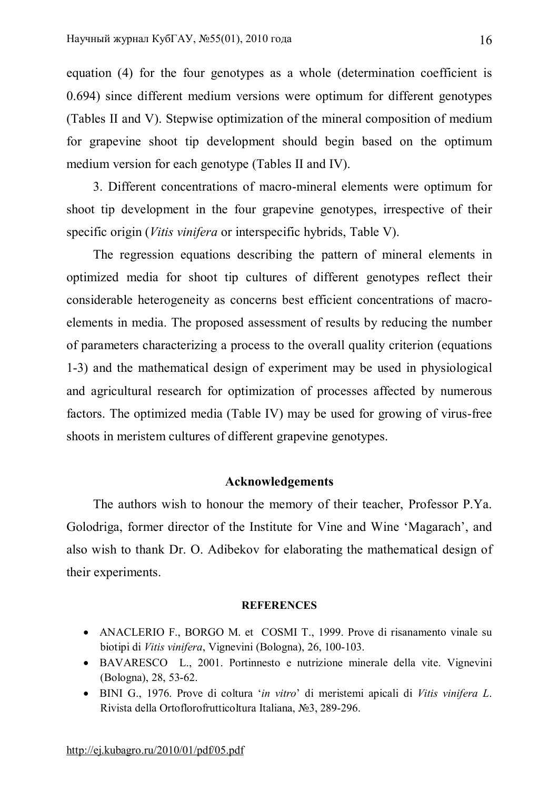equation (4) for the four genotypes as a whole (determination coefficient is 0.694) since different medium versions were optimum for different genotypes (Tables II and V). Stepwise optimization of the mineral composition of medium for grapevine shoot tip development should begin based on the optimum medium version for each genotype (Tables II and IV).

3. Different concentrations of macro-mineral elements were optimum for shoot tip development in the four grapevine genotypes, irrespective of their specific origin (*Vitis vinifera* or interspecific hybrids, Table V).

The regression equations describing the pattern of mineral elements in optimized media for shoot tip cultures of different genotypes reflect their considerable heterogeneity as concerns best efficient concentrations of macroelements in media. The proposed assessment of results by reducing the number of parameters characterizing a process to the overall quality criterion (equations 1-3) and the mathematical design of experiment may be used in physiological and agricultural research for optimization of processes affected by numerous factors. The optimized media (Table IV) may be used for growing of virus-free shoots in meristem cultures of different grapevine genotypes.

## **Acknowledgements**

The authors wish to honour the memory of their teacher, Professor P.Ya. Golodriga, former director of the Institute for Vine and Wine 'Magarach', and also wish to thank Dr. O. Adibekov for elaborating the mathematical design of their experiments.

### **REFERENCES**

- ANACLERIO F., BORGO M. et COSMI T., 1999. Prove di risanamento vinale su biotipi di *Vitis vinifera*, Vignevini (Bologna), 26, 100-103.
- · BAVARESCO L., 2001. Portinnesto e nutrizione minerale della vite. Vignevini (Bologna), 28, 53-62.
- · BINI G., 1976. Prove di coltura '*in vitro*' di meristemi apicali di *Vitis vinifera L*. Rivista della Ortoflorofrutticoltura Italiana, №3, 289-296.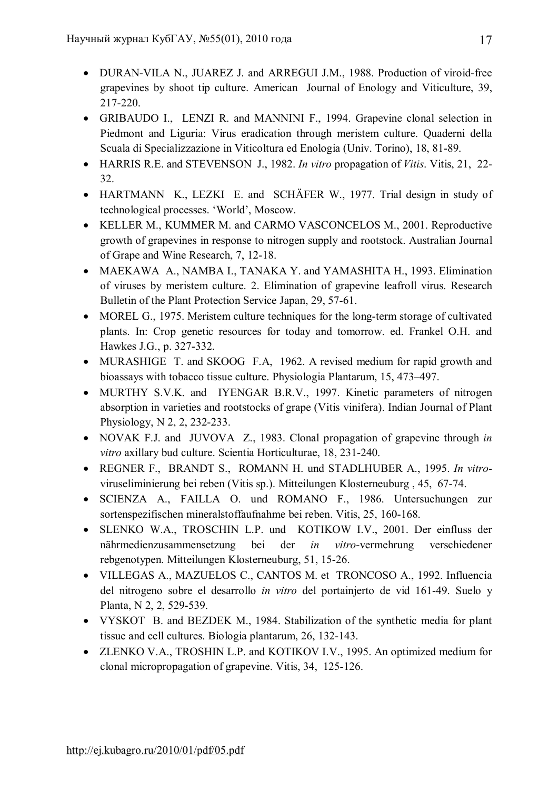- · DURAN-VILA N., JUAREZ J. and ARREGUI J.M., 1988. Production of viroid-free grapevines by shoot tip culture. American Journal of Enology and Viticulture, 39, 217-220.
- GRIBAUDO I., LENZI R. and MANNINI F., 1994. Grapevine clonal selection in Piedmont and Liguria: Virus eradication through meristem culture. Quaderni della Scuala di Specializzazione in Viticoltura ed Enologia (Univ. Torino), 18, 81-89.
- · HARRIS R.E. and STEVENSON J., 1982. *In vitro* propagation of *Vitis*. Vitis, 21, 22- 32.
- HARTMANN K., LEZKI E. and SCHÄFER W., 1977. Trial design in study of technological processes. 'World', Moscow.
- · KELLER M., KUMMER M. and CARMO VASCONCELOS M., 2001. Reproductive growth of grapevines in response to nitrogen supply and rootstock. Australian Journal of Grape and Wine Research, 7, 12-18.
- MAEKAWA A., NAMBA I., TANAKA Y. and YAMASHITA H., 1993. Elimination of viruses by meristem culture. 2. Elimination of grapevine leafroll virus. Research Bulletin of the Plant Protection Service Japan, 29, 57-61.
- · MOREL G., 1975. Meristem culture techniques for the long-term storage of cultivated plants. In: Crop genetic resources for today and tomorrow. ed. Frankel O.H. and Hawkes J.G., p. 327-332.
- MURASHIGE T. and SKOOG F.A, 1962. A revised medium for rapid growth and bioassays with tobacco tissue culture. Physiologia Plantarum, 15, 473–497.
- MURTHY S.V.K. and IYENGAR B.R.V., 1997. Kinetic parameters of nitrogen absorption in varieties and rootstocks of grape (Vitis vinifera). Indian Journal of Plant Physiology, N 2, 2, 232-233.
- · NOVAK F.J. and JUVOVA Z., 1983. Clonal propagation of grapevine through *in vitro* axillary bud culture. Scientia Horticulturae, 18, 231-240.
- · REGNER F., BRANDT S., ROMANN H. und STADLHUBER A., 1995. *In vitro*viruseliminierung bei reben (Vitis sp.). Mitteilungen Klosterneuburg , 45, 67-74.
- · SCIENZA A., FAILLA O. und ROMANO F., 1986. Untersuchungen zur sortenspezifischen mineralstoffaufnahme bei reben. Vitis, 25, 160-168.
- SLENKO W.A., TROSCHIN L.P. und KOTIKOW I.V., 2001. Der einfluss der nährmedienzusammensetzung bei der *in vitro*-vermehrung verschiedener rebgenotypen. Mitteilungen Klosterneuburg, 51, 15-26.
- · VILLEGAS A., MAZUELOS C., CANTOS M. et TRONCOSO A., 1992. Influencia del nitrogeno sobre el desarrollo *in vitro* del portainjerto de vid 161-49. Suelo y Planta, N 2, 2, 529-539.
- · VYSKOT B. and BEZDEK M., 1984. Stabilization of the synthetic media for plant tissue and cell cultures. Biologia plantarum, 26, 132-143.
- · ZLENKO V.A., TROSHIN L.P. and KOTIKOV I.V., 1995. An optimized medium for clonal micropropagation of grapevine. Vitis, 34, 125-126.